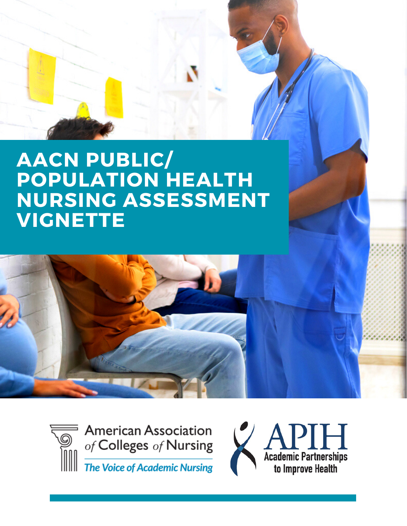# **AACN PUBLIC/ POPULATION HEALTH NURSING ASSESSMENT VIGNETTE**



**American Association** of Colleges of Nursing The Voice of Academic Nursing

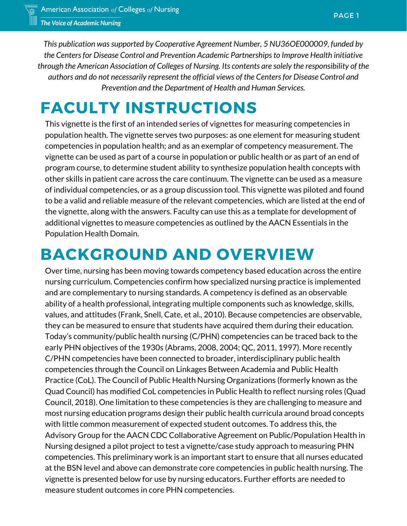*This publication wassupported by Cooperative Agreement Number, 5 NU36OE000009, funded by the Centersfor Disease Control and Prevention Academic Partnershipsto Improve Health initiative through the American Association of Colleges of Nursing. Its contents are solely the responsibility of the authors and do not necessarily represent the official views of the Centersfor Disease Control and Prevention and the Department of Health and Human Services.*

# **FACULTY INSTRUCTIONS**

This vignette is the first of an intended series of vignettes for measuring competencies in population health. The vignette serves two purposes: as one element for measuring student competencies in population health; and as an exemplar of competency measurement. The vignette can be used as part of a course in population or public health or as part of an end of program course, to determine student ability to synthesize population health concepts with other skills in patient care across the care continuum. The vignette can be used as a measure of individual competencies, or as a group discussion tool. This vignette was piloted and found to be a valid and reliable measure of the relevant competencies, which are listed at the end of the vignette, along with the answers. Faculty can use this as a template for development of additional vignettes to measure competencies as outlined by the AACN Essentials in the Population Health Domain.

# **BACKGROUND AND OVERVIEW**

Over time, nursing has been moving towards competency based education across the entire nursing curriculum. Competencies confirm how specialized nursing practice is implemented and are complementary to nursing standards. A competency is defined as an observable ability of a health professional, integrating multiple components such as knowledge, skills, values, and attitudes (Frank, Snell, Cate, et al., 2010). Because competencies are observable, they can be measured to ensure that students have acquired them during their education. Today's community/public health nursing (C/PHN) competencies can be traced back to the early PHN objectives of the 1930s (Abrams, 2008, 2004; QC, 2011, 1997). More recently C/PHN competencies have been connected to broader, interdisciplinary public health competencies through the Council on Linkages Between Academia and Public Health Practice (CoL). The Council of Public Health Nursing Organizations (formerly known as the Quad Council) has modified CoL competencies in Public Health to reflect nursing roles (Quad Council, 2018). One limitation to these competencies is they are challenging to measure and most nursing education programs design their public health curricula around broad concepts with little common measurement of expected student outcomes. To address this, the Advisory Group for the AACN CDC Collaborative Agreement on Public/Population Health in Nursing designed a pilot project to test a vignette/case study approach to measuring PHN competencies. This preliminary work is an important start to ensure that all nurses educated at the BSN level and above can demonstrate core competencies in public health nursing. The vignette is presented below for use by nursing educators. Further efforts are needed to measure student outcomes in core PHN competencies.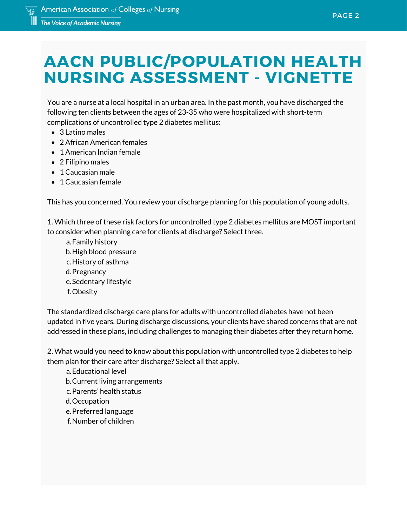# **AACN PUBLIC/POPULATION HEALTH NURSING ASSESSMENT - VIGNETTE**

You are a nurse at a local hospital in an urban area. In the past month, you have discharged the following ten clients between the ages of 23-35 who were hospitalized with short-term complications of uncontrolled type 2 diabetes mellitus:

- 3 Latino males
- 2 African American females
- 1 American Indian female
- 2 Filipino males
- 1 Caucasian male
- 1 Caucasian female

This has you concerned. You review your discharge planning for this population of young adults.

1. Which three of these risk factors for uncontrolled type 2 diabetes mellitus are MOST important to consider when planning care for clients at discharge? Select three.

a.Family history b. High blood pressure c.History of asthma d. Pregnancy e.Sedentary lifestyle Obesity f.

The standardized discharge care plans for adults with uncontrolled diabetes have not been updated in five years. During discharge discussions, your clients have shared concerns that are not addressed in these plans, including challenges to managing their diabetes after they return home.

2. What would you need to know about this population with uncontrolled type 2 diabetes to help them plan for their care after discharge? Select all that apply.

- Educational level a.
- b. Current living arrangements
- c.Parents' health status
- d.Occupation
- e. Preferred language
- Number of children f.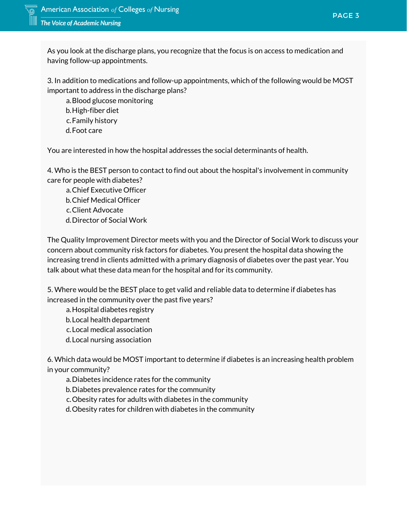As you look at the discharge plans, you recognize that the focus is on access to medication and having follow-up appointments.

hich of the followin 3. In addition to medications and follow-up appointments, which of the following would be MOST important to address in the discharge plans?

a. Blood glucose monitoring b. High-fiber diet c.Family history d.Foot care

**38%** You are interested in how the hospital addresses the social determinants of health.

*finance growth* 4. Who is the BEST person to contact to find out about the hospital's involvement in community care for people with diabetes?

Chief Executive Officer a.

- b. Chief Medical Officer
- Client Advocate c.
- d. Director of Social Work

The Quality Improvement Director meets with you and the Director of Social Work to discuss your concern about community risk factors for diabetes. You present the hospital data showing the increasing trend in clients admitted with a primary diagnosis of diabetes over the past year. You talk about what these data mean for the hospital and for its community.

5. Where would be the BEST place to get valid and reliable data to determine if diabetes has increased in the community over the past five years?

a. Hospital diabetes registry

- b. Local health department
- Local medical association c.
- d. Local nursing association

6. Which data would be MOST important to determine if diabetes is an increasing health problem in your community?

Diabetes incidence rates for the community a.

b. Diabetes prevalence rates for the community

c. Obesity rates for adults with diabetes in the community

d. Obesity rates for children with diabetes in the community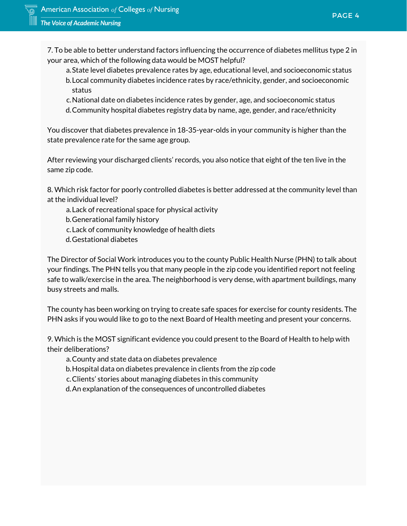7. To be able to better understand factors influencing the occurrence of diabetes mellitus type 2 in your area, which of the following data would be MOST helpful?

- onal level, and sock<br>thnicity, gender, and<br>... State level diabetes prevalence rates by age, educational level, and socioeconomic status a. Local community diabetes incidence rates by race/ethnicity, gender, and socioeconomic b. status
- *stock maturity* National date on diabetes incidence rates by gender, age, and socioeconomic status c.
- Community hospital diabetes registry data by name, age, gender, and race/ethnicity d.

You discover that diabetes prevalence in 18-35-year-olds in your community is higher than the state prevalence rate for the same age group.

After reviewing your discharged clients' records, you also notice that eight of the ten live in the<br>same zin code same zip code.

8. Which risk factor for poorly controlled diabetes is better addressed at the community level than at the individual level?

- Lack of recreational space for physical activity a.
- b. Generational family history
- Lack of community knowledge of health diets c.
- Gestational diabetes d.

The Director of Social Work introduces you to the county Public Health Nurse (PHN) to talk about your findings. The PHN tells you that many people in the zip code you identified report not feeling safe to walk/exercise in the area. The neighborhood is very dense, with apartment buildings, many busy streets and malls.

The county has been working on trying to create safe spaces for exercise for county residents. The PHN asks if you would like to go to the next Board of Health meeting and present your concerns.

9. Which is the MOST significant evidence you could present to the Board of Health to help with their deliberations?

County and state data on diabetes prevalence a.

- Hospital data on diabetes prevalence in clients from the zip code b.
- Clients' stories about managing diabetes in this community c.

An explanation of the consequences of uncontrolled diabetes d.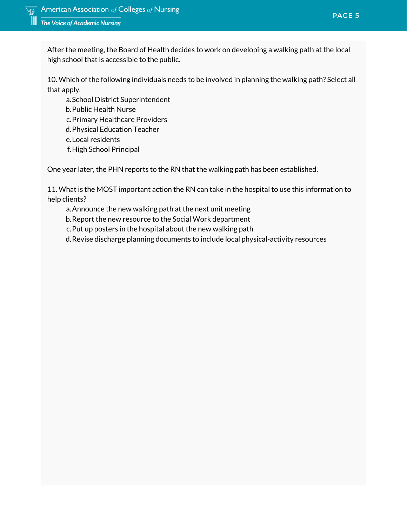After the meeting, the Board of Health decides to work on developing a walking path at the local high school that is accessible to the public.

n <mark>planning the walk</mark> 10. Which of the following individuals needs to be involved in planning the walking path? Select all that apply.

a.School District Superintendent b. Public Health Nurse c. Primary Healthcare Providers Physical Education Teacher d. Local residents e. f.High School Principal

*finance growth* One year later, the PHN reports to the RN that the walking path has been established.

11. What is the MOST important action the RN can take in the hospital to use this information to help clients?

Announce the new walking path at the next unit meeting a.

b. Report the new resource to the Social Work department

c. Put up posters in the hospital about the new walking path

Revise discharge planning documents to include local physical-activity resources d.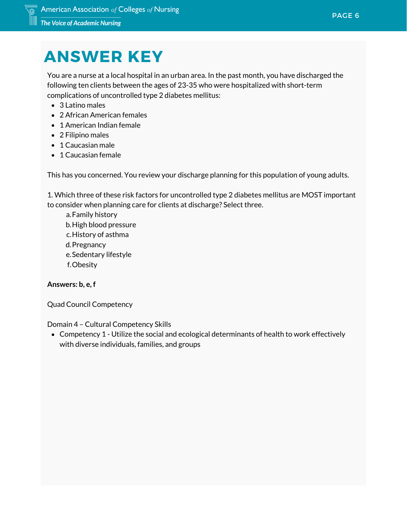# **ANSWER KEY**

You are a nurse at a local hospital in an urban area. In the past month, you have discharg<br>following ten clients between the ages of 23-35 who were hospitalized with short-term You are a nurse at a local hospital in an urban area. In the past month, you have discharged the complications of uncontrolled type 2 diabetes mellitus:

- 3 Latino males
- 2 African American females
- 1 American Indian female
- 2 Filipino males
- 1 Caucasian male
- 1 Caucasian female

This has you concerned. You review your discharge planning for this population of young adults.

1. Which three of these risk factors for uncontrolled type 2 diabetes mellitus are MOST important to consider when planning care for clients at discharge? Select three.

Family history a. b. High blood pressure c.History of asthma d. Pregnancy e.Sedentary lifestyle Obesity f.

## **Answers: b, e, f**

Quad Council Competency

Domain 4 – Cultural Competency Skills

Competency 1 - Utilize the social and ecological determinants of health to work effectively with diverse individuals, families, and groups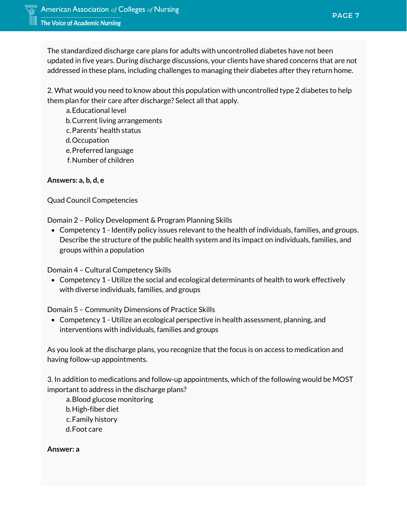addressed in these plans, including challenges to managing their diabetes after they return home.<br>2. What would you peed to know about this population with uncontrolled type 2 diabetes to belp. The standardized discharge care plans for adults with uncontrolled diabetes have not been updated in five years. During discharge discussions, your clients have shared concerns that are not

*stock maturity* 2. What would you need to know about this population with uncontrolled type 2 diabetes to help them plan for their care after discharge? Select all that apply.

a.Educational level b. Current living arrangements c. Parents' health status d.Occupation e. Preferred language Number of children f.

### **Answers: a, b, d, e**

Quad Council Competencies

Domain 2 – Policy Development & Program Planning Skills

Competency 1 - Identify policy issues relevant to the health of individuals, families, and groups. Describe the structure of the public health system and its impact on individuals, families, and groups within a population

Domain 4 – Cultural Competency Skills

Competency 1 - Utilize the social and ecological determinants of health to work effectively with diverse individuals, families, and groups

Domain 5 – Community Dimensions of Practice Skills

Competency 1 - Utilize an ecological perspective in health assessment, planning, and interventions with individuals, families and groups

As you look at the discharge plans, you recognize that the focus is on access to medication and having follow-up appointments.

3. In addition to medications and follow-up appointments, which of the following would be MOST important to address in the discharge plans?

a. Blood glucose monitoring b. High-fiber diet c. Family history Foot care d.

**Answer: a**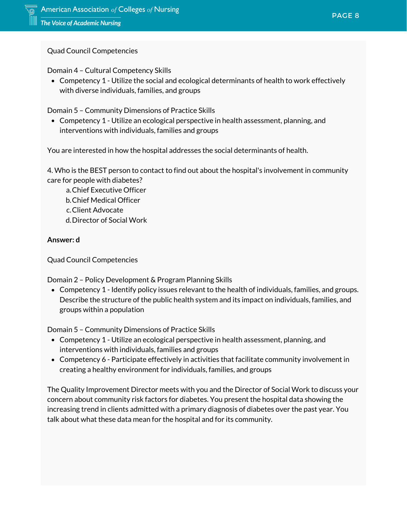Quad Council Competencies

Domain 4 – Cultural Competency Skills

nants of health <mark>to</mark> w Competency 1 - Utilize the social and ecological determinants of health to work effectively with diverse individuals, families, and groups

Domain 5 – Community Dimensions of Practice Skills

Competency 1 - Utilize an ecological perspective in health assessment, planning, and interventions with individuals, families and groups

**38%** You are interested in how the hospital addresses the social determinants of health.

*finance growth* 4. Who is the BEST person to contact to find out about the hospital's involvement in community care for people with diabetes?

Chief Executive Officer a. b. Chief Medical Officer Client Advocate c.

d. Director of Social Work

## **Answer: d**

Quad Council Competencies

Domain 2 – Policy Development & Program Planning Skills

Competency 1 - Identify policy issues relevant to the health of individuals, families, and groups. Describe the structure of the public health system and its impact on individuals, families, and groups within a population

Domain 5 – Community Dimensions of Practice Skills

- Competency 1 Utilize an ecological perspective in health assessment, planning, and interventions with individuals, families and groups
- Competency 6 Participate effectively in activities that facilitate community involvement in creating a healthy environment for individuals, families, and groups

The Quality Improvement Director meets with you and the Director of Social Work to discuss your concern about community risk factors for diabetes. You present the hospital data showing the increasing trend in clients admitted with a primary diagnosis of diabetes over the past year. You talk about what these data mean for the hospital and for its community.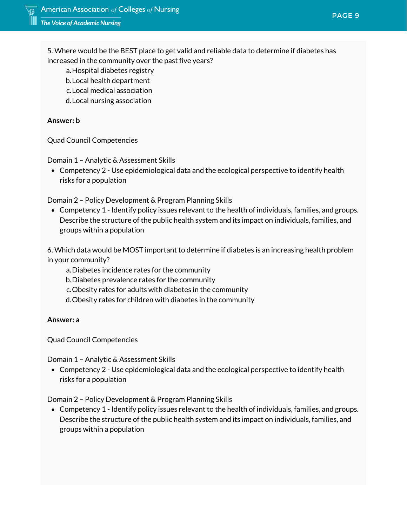5. Where would be the BEST place to get valid and reliable data to determine if diabetes has increased in the community over the past five years?

- a.Hospital diabetes registry
- Local health department b.
- Local medical association c.
- d. Local nursing association

### **Answer: b**

Quad Council Competencies

Domain 1 – Analytic & Assessment Skills

*finance growth* Competency 2 - Use epidemiological data and the ecological perspective to identify health risks for a population

Domain 2 – Policy Development & Program Planning Skills

Competency 1 - Identify policy issues relevant to the health of individuals, families, and groups. Describe the structure of the public health system and its impact on individuals, families, and groups within a population

6. Which data would be MOST important to determine if diabetes is an increasing health problem in your community?

- Diabetes incidence rates for the community a.
- Diabetes prevalence rates for the community b.
- Obesity rates for adults with diabetes in the community c.
- d. Obesity rates for children with diabetes in the community

#### **Answer: a**

Quad Council Competencies

Domain 1 – Analytic & Assessment Skills

Competency 2 - Use epidemiological data and the ecological perspective to identify health risks for a population

Domain 2 – Policy Development & Program Planning Skills

Competency 1 - Identify policy issues relevant to the health of individuals, families, and groups. Describe the structure of the public health system and its impact on individuals, families, and groups within a population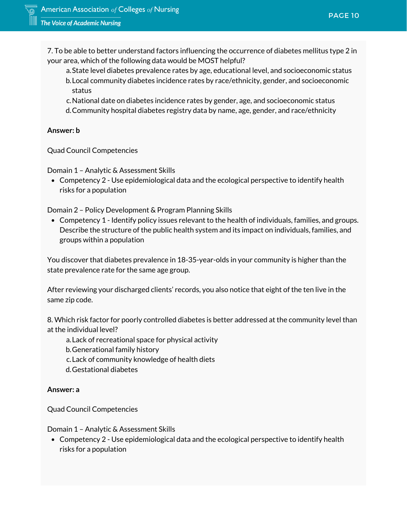7. To be able to better understand factors influencing the occurrence of diabetes mellitus type 2 in your area, which of the following data would be MOST helpful?

- onal level, and soci<br>thnicity, gender, and<br>. State level diabetes prevalence rates by age, educational level, and socioeconomic status a. Local community diabetes incidence rates by race/ethnicity, gender, and socioeconomic b. status
- c.National date on diabetes incidence rates by gender, age, and socioeconomic status
- Community hospital diabetes registry data by name, age, gender, and race/ethnicity d.

### **Answer: b**

Quad Council Competencies

Domain 1 – Analytic & Assessment Skills

Competency 2 - Use epidemiological data and the ecological perspective to identify health risks for a population

Domain 2 – Policy Development & Program Planning Skills

Competency 1 - Identify policy issues relevant to the health of individuals, families, and groups. Describe the structure of the public health system and its impact on individuals, families, and groups within a population

You discover that diabetes prevalence in 18-35-year-olds in your community is higher than the state prevalence rate for the same age group.

After reviewing your discharged clients' records, you also notice that eight of the ten live in the same zip code.

8. Which risk factor for poorly controlled diabetes is better addressed at the community level than at the individual level?

Lack of recreational space for physical activity a.

b. Generational family history

Lack of community knowledge of health diets c.

Gestational diabetes d.

### **Answer: a**

Quad Council Competencies

Domain 1 – Analytic & Assessment Skills

Competency 2 - Use epidemiological data and the ecological perspective to identify health risks for a population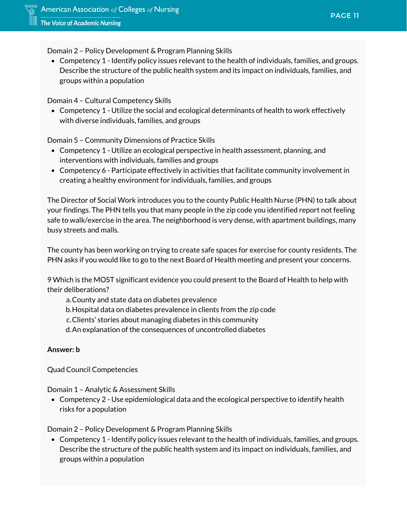Domain 2 – Policy Development & Program Planning Skills

Describe the structure of the public health system and its impact on individuals, families, and<br>groups within a population<br>. Competency 1 - Identify policy issues relevant to the health of individuals, families, and groups. groups within a population

Domain 4 – Cultural Competency Skills

Competency 1 - Utilize the social and ecological determinants of health to work effectively with diverse individuals, families, and groups

Domain 5 – Community Dimensions of Practice Skills

- nain 5 Community Dimensions of Practice Skills<br>Competency 1 Utilize an ecological perspective in health assessment, planning, and interventions with individuals, families and groups
- *finance growth* Competency 6 Participate effectively in activities that facilitate community involvement in creating a healthy environment for individuals, families, and groups

The Director of Social Work introduces you to the county Public Health Nurse (PHN) to talk about your findings. The PHN tells you that many people in the zip code you identified report not feeling safe to walk/exercise in the area. The neighborhood is very dense, with apartment buildings, many busy streets and malls.

The county has been working on trying to create safe spaces for exercise for county residents. The PHN asks if you would like to go to the next Board of Health meeting and present your concerns.

9 Which is the MOST significant evidence you could present to the Board of Health to help with their deliberations?

County and state data on diabetes prevalence a.

Hospital data on diabetes prevalence in clients from the zip code b.

Clients' stories about managing diabetes in this community c.

An explanation of the consequences of uncontrolled diabetes d.

#### **Answer: b**

Quad Council Competencies

Domain 1 – Analytic & Assessment Skills

Competency 2 - Use epidemiological data and the ecological perspective to identify health risks for a population

Domain 2 – Policy Development & Program Planning Skills

Competency 1 - Identify policy issues relevant to the health of individuals, families, and groups. Describe the structure of the public health system and its impact on individuals, families, and groups within a population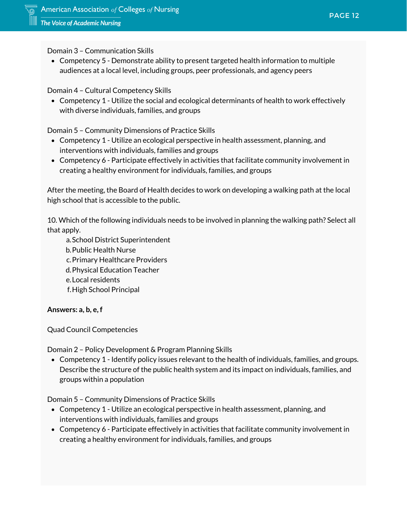Domain 3 – Communication Skills

audiences at a local level, including groups, peer professionals, and agency peers<br>nain 4 – Cultural Competency Skills Competency 5 - Demonstrate ability to present targeted health information to multiple

Domain 4 – Cultural Competency Skills

*stock maturity* Competency 1 - Utilize the social and ecological determinants of health to work effectively with diverse individuals, families, and groups

Domain 5 – Community Dimensions of Practice Skills

- Competency 1 Utilize an ecological perspective in health assessment, planning, and<br>interventions with individuals, families and groups interventions with individuals, families and groups
- *finance growth* Competency 6 Participate effectively in activities that facilitate community involvement in creating a healthy environment for individuals, families, and groups

After the meeting, the Board of Health decides to work on developing a walking path at the local high school that is accessible to the public.

10. Which of the following individuals needs to be involved in planning the walking path? Select all that apply.

a.School District Superintendent b. Public Health Nurse c. Primary Healthcare Providers Physical Education Teacher d. Local residents e. f.High School Principal

**Answers: a, b, e, f**

Quad Council Competencies

Domain 2 – Policy Development & Program Planning Skills

Competency 1 - Identify policy issues relevant to the health of individuals, families, and groups. Describe the structure of the public health system and its impact on individuals, families, and groups within a population

Domain 5 – Community Dimensions of Practice Skills

- Competency 1 Utilize an ecological perspective in health assessment, planning, and interventions with individuals, families and groups
- Competency 6 Participate effectively in activities that facilitate community involvement in creating a healthy environment for individuals, families, and groups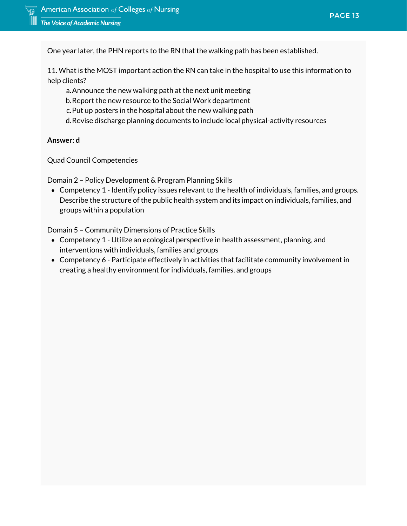One year later, the PHN reports to the RN that the walking path has been established.

**57%** 11. What is the MOST important action the RN can take in the hospital to use this information to help clients?

- Announce the new walking path at the next unit meeting a.
- *stock maturity* Report the new resource to the Social Work department b.
- c. Put up posters in the hospital about the new walking path
- Revise discharge planning documents to include local physical-activity resources d.

#### **Answer: d**

Quad Council Competencies

Domain 2 – Policy Development & Program Planning Skills

Competency 1 - Identify policy issues relevant to the health of individuals, families, and groups. Describe the structure of the public health system and its impact on individuals, families, and groups within a population

Domain 5 – Community Dimensions of Practice Skills

- Competency 1 Utilize an ecological perspective in health assessment, planning, and interventions with individuals, families and groups
- Competency 6 Participate effectively in activities that facilitate community involvement in creating a healthy environment for individuals, families, and groups